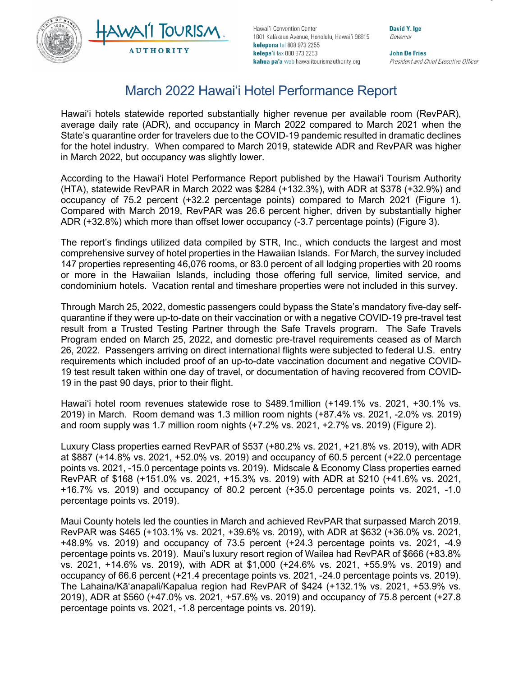

Hawai'i Convention Center 1801 Kalākaua Avenue, Honolulu, Hawai'i 96815 kelepona tel 808 973 2255 kelepa'i fax 808 973 2253 kahua pa'a web hawaiitourismauthority.org

David Y. Ige Governor

**John De Fries** President and Chief Executive Officer

# March 2022 Hawai'i Hotel Performance Report

Hawai'i hotels statewide reported substantially higher revenue per available room (RevPAR), average daily rate (ADR), and occupancy in March 2022 compared to March 2021 when the State's quarantine order for travelers due to the COVID-19 pandemic resulted in dramatic declines for the hotel industry. When compared to March 2019, statewide ADR and RevPAR was higher in March 2022, but occupancy was slightly lower.

According to the Hawai'i Hotel Performance Report published by the Hawai'i Tourism Authority (HTA), statewide RevPAR in March 2022 was \$284 (+132.3%), with ADR at \$378 (+32.9%) and occupancy of 75.2 percent (+32.2 percentage points) compared to March 2021 (Figure 1). Compared with March 2019, RevPAR was 26.6 percent higher, driven by substantially higher ADR (+32.8%) which more than offset lower occupancy (-3.7 percentage points) (Figure 3).

The report's findings utilized data compiled by STR, Inc., which conducts the largest and most comprehensive survey of hotel properties in the Hawaiian Islands. For March, the survey included 147 properties representing 46,076 rooms, or 83.0 percent of all lodging properties with 20 rooms or more in the Hawaiian Islands, including those offering full service, limited service, and condominium hotels. Vacation rental and timeshare properties were not included in this survey.

Through March 25, 2022, domestic passengers could bypass the State's mandatory five-day selfquarantine if they were up-to-date on their vaccination or with a negative COVID-19 pre-travel test result from a Trusted Testing Partner through the Safe Travels program. The Safe Travels Program ended on March 25, 2022, and domestic pre-travel requirements ceased as of March 26, 2022. Passengers arriving on direct international flights were subjected to federal U.S. entry requirements which included proof of an up-to-date vaccination document and negative COVID-19 test result taken within one day of travel, or documentation of having recovered from COVID-19 in the past 90 days, prior to their flight.

Hawai'i hotel room revenues statewide rose to \$489.1million (+149.1% vs. 2021, +30.1% vs. 2019) in March. Room demand was 1.3 million room nights (+87.4% vs. 2021, -2.0% vs. 2019) and room supply was 1.7 million room nights (+7.2% vs. 2021, +2.7% vs. 2019) (Figure 2).

Luxury Class properties earned RevPAR of \$537 (+80.2% vs. 2021, +21.8% vs. 2019), with ADR at \$887 (+14.8% vs. 2021, +52.0% vs. 2019) and occupancy of 60.5 percent (+22.0 percentage points vs. 2021, -15.0 percentage points vs. 2019). Midscale & Economy Class properties earned RevPAR of \$168 (+151.0% vs. 2021, +15.3% vs. 2019) with ADR at \$210 (+41.6% vs. 2021, +16.7% vs. 2019) and occupancy of 80.2 percent (+35.0 percentage points vs. 2021, -1.0 percentage points vs. 2019).

Maui County hotels led the counties in March and achieved RevPAR that surpassed March 2019. RevPAR was \$465 (+103.1% vs. 2021, +39.6% vs. 2019), with ADR at \$632 (+36.0% vs. 2021, +48.9% vs. 2019) and occupancy of 73.5 percent (+24.3 percentage points vs. 2021, -4.9 percentage points vs. 2019). Maui's luxury resort region of Wailea had RevPAR of \$666 (+83.8% vs. 2021, +14.6% vs. 2019), with ADR at \$1,000 (+24.6% vs. 2021, +55.9% vs. 2019) and occupancy of 66.6 percent (+21.4 precentage points vs. 2021, -24.0 percentage points vs. 2019). The Lahaina/Kā'anapali/Kapalua region had RevPAR of \$424 (+132.1% vs. 2021, +53.9% vs. 2019), ADR at \$560 (+47.0% vs. 2021, +57.6% vs. 2019) and occupancy of 75.8 percent (+27.8 percentage points vs. 2021, -1.8 percentage points vs. 2019).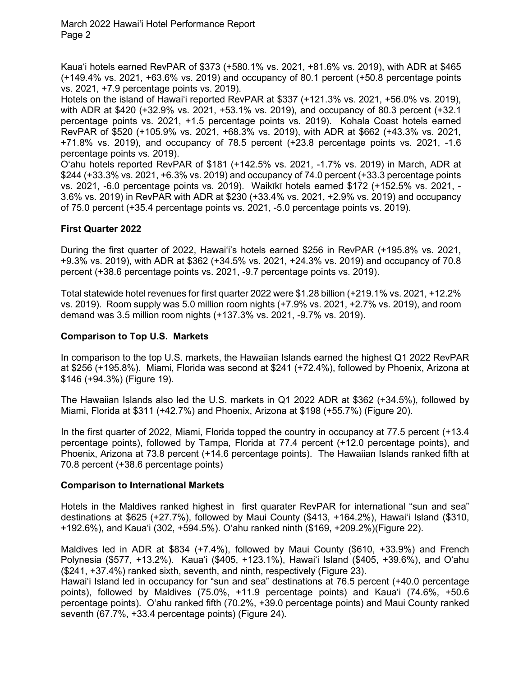March 2022 Hawai'i Hotel Performance Report Page 2

Kaua'i hotels earned RevPAR of \$373 (+580.1% vs. 2021, +81.6% vs. 2019), with ADR at \$465 (+149.4% vs. 2021, +63.6% vs. 2019) and occupancy of 80.1 percent (+50.8 percentage points vs. 2021, +7.9 percentage points vs. 2019).

Hotels on the island of Hawai'i reported RevPAR at \$337 (+121.3% vs. 2021, +56.0% vs. 2019), with ADR at \$420 (+32.9% vs. 2021, +53.1% vs. 2019), and occupancy of 80.3 percent (+32.1 percentage points vs. 2021, +1.5 percentage points vs. 2019). Kohala Coast hotels earned RevPAR of \$520 (+105.9% vs. 2021, +68.3% vs. 2019), with ADR at \$662 (+43.3% vs. 2021, +71.8% vs. 2019), and occupancy of 78.5 percent (+23.8 percentage points vs. 2021, -1.6 percentage points vs. 2019).

O'ahu hotels reported RevPAR of \$181 (+142.5% vs. 2021, -1.7% vs. 2019) in March, ADR at \$244 (+33.3% vs. 2021, +6.3% vs. 2019) and occupancy of 74.0 percent (+33.3 percentage points vs. 2021, -6.0 percentage points vs. 2019). Waikīkī hotels earned \$172 (+152.5% vs. 2021, - 3.6% vs. 2019) in RevPAR with ADR at \$230 (+33.4% vs. 2021, +2.9% vs. 2019) and occupancy of 75.0 percent (+35.4 percentage points vs. 2021, -5.0 percentage points vs. 2019).

# **First Quarter 2022**

During the first quarter of 2022, Hawai'i's hotels earned \$256 in RevPAR (+195.8% vs. 2021, +9.3% vs. 2019), with ADR at \$362 (+34.5% vs. 2021, +24.3% vs. 2019) and occupancy of 70.8 percent (+38.6 percentage points vs. 2021, -9.7 percentage points vs. 2019).

Total statewide hotel revenues for first quarter 2022 were \$1.28 billion (+219.1% vs. 2021, +12.2% vs. 2019). Room supply was 5.0 million room nights (+7.9% vs. 2021, +2.7% vs. 2019), and room demand was 3.5 million room nights (+137.3% vs. 2021, -9.7% vs. 2019).

# **Comparison to Top U.S. Markets**

In comparison to the top U.S. markets, the Hawaiian Islands earned the highest Q1 2022 RevPAR at \$256 (+195.8%). Miami, Florida was second at \$241 (+72.4%), followed by Phoenix, Arizona at \$146 (+94.3%) (Figure 19).

The Hawaiian Islands also led the U.S. markets in Q1 2022 ADR at \$362 (+34.5%), followed by Miami, Florida at \$311 (+42.7%) and Phoenix, Arizona at \$198 (+55.7%) (Figure 20).

In the first quarter of 2022, Miami, Florida topped the country in occupancy at 77.5 percent (+13.4 percentage points), followed by Tampa, Florida at 77.4 percent (+12.0 percentage points), and Phoenix, Arizona at 73.8 percent (+14.6 percentage points). The Hawaiian Islands ranked fifth at 70.8 percent (+38.6 percentage points)

# **Comparison to International Markets**

Hotels in the Maldives ranked highest in first quarater RevPAR for international "sun and sea" destinations at \$625 (+27.7%), followed by Maui County (\$413, +164.2%), Hawai'i Island (\$310, +192.6%), and Kaua'i (302, +594.5%). O'ahu ranked ninth (\$169, +209.2%)(Figure 22).

Maldives led in ADR at \$834 (+7.4%), followed by Maui County (\$610, +33.9%) and French Polynesia (\$577, +13.2%). Kaua'i (\$405, +123.1%), Hawai'i Island (\$405, +39.6%), and O'ahu (\$241, +37.4%) ranked sixth, seventh, and ninth, respectively (Figure 23).

Hawai'i Island led in occupancy for "sun and sea" destinations at 76.5 percent (+40.0 percentage points), followed by Maldives (75.0%, +11.9 percentage points) and Kaua'i (74.6%, +50.6 percentage points). O'ahu ranked fifth (70.2%, +39.0 percentage points) and Maui County ranked seventh (67.7%, +33.4 percentage points) (Figure 24).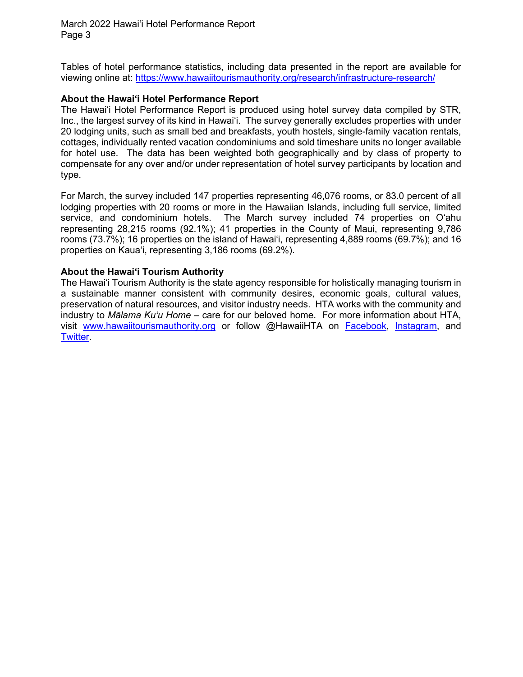March 2022 Hawai'i Hotel Performance Report Page 3

Tables of hotel performance statistics, including data presented in the report are available for viewing online at: <https://www.hawaiitourismauthority.org/research/infrastructure-research/>

## **About the Hawai'i Hotel Performance Report**

The Hawai'i Hotel Performance Report is produced using hotel survey data compiled by STR, Inc., the largest survey of its kind in Hawai'i. The survey generally excludes properties with under 20 lodging units, such as small bed and breakfasts, youth hostels, single-family vacation rentals, cottages, individually rented vacation condominiums and sold timeshare units no longer available for hotel use. The data has been weighted both geographically and by class of property to compensate for any over and/or under representation of hotel survey participants by location and type.

For March, the survey included 147 properties representing 46,076 rooms, or 83.0 percent of all lodging properties with 20 rooms or more in the Hawaiian Islands, including full service, limited service, and condominium hotels. The March survey included 74 properties on O'ahu representing 28,215 rooms (92.1%); 41 properties in the County of Maui, representing 9,786 rooms (73.7%); 16 properties on the island of Hawai'i, representing 4,889 rooms (69.7%); and 16 properties on Kaua'i, representing 3,186 rooms (69.2%).

## **About the Hawai'i Tourism Authority**

The Hawai'i Tourism Authority is the state agency responsible for holistically managing tourism in a sustainable manner consistent with community desires, economic goals, cultural values, preservation of natural resources, and visitor industry needs. HTA works with the community and industry to *Mālama Kuʻu Home* – care for our beloved home. For more information about HTA, visit [www.hawaiitourismauthority.org](https://nam11.safelinks.protection.outlook.com/?url=http%3A%2F%2Fwww.hawaiitourismauthority.org%2F&data=04%7C01%7Cerin.khan%40anthologygroup.com%7C06f3ced010134c93fcb908da1cd99265%7C0e7558ffacd54b0286566e61c570cbb8%7C0%7C0%7C637854018211654315%7CUnknown%7CTWFpbGZsb3d8eyJWIjoiMC4wLjAwMDAiLCJQIjoiV2luMzIiLCJBTiI6Ik1haWwiLCJXVCI6Mn0%3D%7C3000&sdata=koNw5zUEGx6F%2FN%2Fe71%2FrgzCgbNZ%2F%2FXRlUjzw0Sk3ic4%3D&reserved=0) or follow @HawaiiHTA on [Facebook,](https://nam11.safelinks.protection.outlook.com/?url=https%3A%2F%2Fwww.facebook.com%2FHawaiiHTA&data=04%7C01%7Cerin.khan%40anthologygroup.com%7C06f3ced010134c93fcb908da1cd99265%7C0e7558ffacd54b0286566e61c570cbb8%7C0%7C0%7C637854018211654315%7CUnknown%7CTWFpbGZsb3d8eyJWIjoiMC4wLjAwMDAiLCJQIjoiV2luMzIiLCJBTiI6Ik1haWwiLCJXVCI6Mn0%3D%7C3000&sdata=Xrbt4C142sV0lx6FQ58eamz83lQlTrwW7JeeRPQEbww%3D&reserved=0) [Instagram,](https://nam11.safelinks.protection.outlook.com/?url=https%3A%2F%2Fwww.instagram.com%2Fhawaiihta%2F&data=04%7C01%7Cerin.khan%40anthologygroup.com%7C06f3ced010134c93fcb908da1cd99265%7C0e7558ffacd54b0286566e61c570cbb8%7C0%7C0%7C637854018211654315%7CUnknown%7CTWFpbGZsb3d8eyJWIjoiMC4wLjAwMDAiLCJQIjoiV2luMzIiLCJBTiI6Ik1haWwiLCJXVCI6Mn0%3D%7C3000&sdata=cT2hW9NpTnbKCp9Gg3N2z5%2B5hMfhpkFcRhbcd7RrHH4%3D&reserved=0) and [Twitter.](https://nam11.safelinks.protection.outlook.com/?url=https%3A%2F%2Ftwitter.com%2FHawaiiHTA&data=04%7C01%7Cerin.khan%40anthologygroup.com%7C06f3ced010134c93fcb908da1cd99265%7C0e7558ffacd54b0286566e61c570cbb8%7C0%7C0%7C637854018211654315%7CUnknown%7CTWFpbGZsb3d8eyJWIjoiMC4wLjAwMDAiLCJQIjoiV2luMzIiLCJBTiI6Ik1haWwiLCJXVCI6Mn0%3D%7C3000&sdata=DuD8vcPFoFxLeWOPl8Fw7Tn7%2BxTqLbt6M8hmU8o4F80%3D&reserved=0)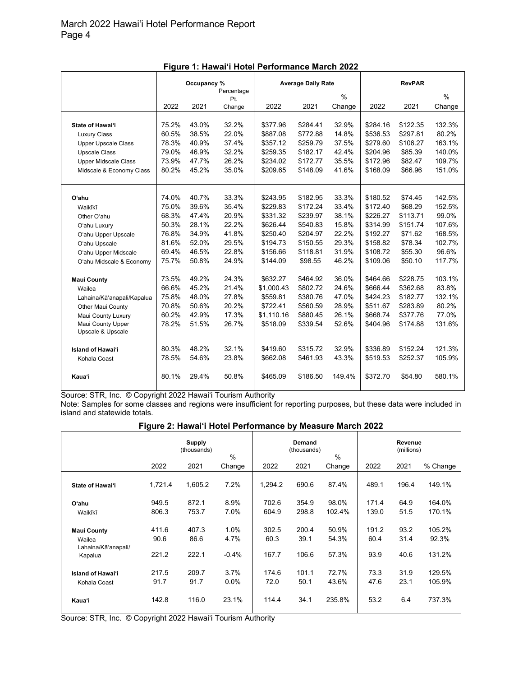|                             |       | Occupancy % |                   |            | <b>Average Daily Rate</b> |               |          | <b>RevPAR</b> |               |  |
|-----------------------------|-------|-------------|-------------------|------------|---------------------------|---------------|----------|---------------|---------------|--|
|                             |       |             | Percentage<br>Pt. |            |                           | $\frac{0}{0}$ |          |               | $\frac{0}{0}$ |  |
|                             | 2022  | 2021        | Change            | 2022       | 2021                      | Change        | 2022     | 2021          | Change        |  |
|                             |       |             |                   |            |                           |               |          |               |               |  |
| State of Hawai'i            | 75.2% | 43.0%       | 32.2%             | \$377.96   | \$284.41                  | 32.9%         | \$284.16 | \$122.35      | 132.3%        |  |
| <b>Luxury Class</b>         | 60.5% | 38.5%       | 22.0%             | \$887.08   | \$772.88                  | 14.8%         | \$536.53 | \$297.81      | 80.2%         |  |
| <b>Upper Upscale Class</b>  | 78.3% | 40.9%       | 37.4%             | \$357.12   | \$259.79                  | 37.5%         | \$279.60 | \$106.27      | 163.1%        |  |
| <b>Upscale Class</b>        | 79.0% | 46.9%       | 32.2%             | \$259.35   | \$182.17                  | 42.4%         | \$204.96 | \$85.39       | 140.0%        |  |
| <b>Upper Midscale Class</b> | 73.9% | 47.7%       | 26.2%             | \$234.02   | \$172.77                  | 35.5%         | \$172.96 | \$82.47       | 109.7%        |  |
| Midscale & Economy Class    | 80.2% | 45.2%       | 35.0%             | \$209.65   | \$148.09                  | 41.6%         | \$168.09 | \$66.96       | 151.0%        |  |
|                             |       |             |                   |            |                           |               |          |               |               |  |
| O'ahu                       | 74.0% | 40.7%       | 33.3%             | \$243.95   | \$182.95                  | 33.3%         | \$180.52 | \$74.45       | 142.5%        |  |
| Waikīkī                     | 75.0% | 39.6%       | 35.4%             | \$229.83   | \$172.24                  | 33.4%         | \$172.40 | \$68.29       | 152.5%        |  |
| Other O'ahu                 | 68.3% | 47.4%       | 20.9%             | \$331.32   | \$239.97                  | 38.1%         | \$226.27 | \$113.71      | 99.0%         |  |
| O'ahu Luxury                | 50.3% | 28.1%       | 22.2%             | \$626.44   | \$540.83                  | 15.8%         | \$314.99 | \$151.74      | 107.6%        |  |
| O'ahu Upper Upscale         | 76.8% | 34.9%       | 41.8%             | \$250.40   | \$204.97                  | 22.2%         | \$192.27 | \$71.62       | 168.5%        |  |
| O'ahu Upscale               | 81.6% | 52.0%       | 29.5%             | \$194.73   | \$150.55                  | 29.3%         | \$158.82 | \$78.34       | 102.7%        |  |
| O'ahu Upper Midscale        | 69.4% | 46.5%       | 22.8%             | \$156.66   | \$118.81                  | 31.9%         | \$108.72 | \$55.30       | 96.6%         |  |
| O'ahu Midscale & Economy    | 75.7% | 50.8%       | 24.9%             | \$144.09   | \$98.55                   | 46.2%         | \$109.06 | \$50.10       | 117.7%        |  |
| <b>Maui County</b>          | 73.5% | 49.2%       | 24.3%             | \$632.27   | \$464.92                  | 36.0%         | \$464.66 | \$228.75      | 103.1%        |  |
| Wailea                      | 66.6% | 45.2%       | 21.4%             | \$1,000.43 | \$802.72                  | 24.6%         | \$666.44 | \$362.68      | 83.8%         |  |
| Lahaina/Kā'anapali/Kapalua  | 75.8% | 48.0%       | 27.8%             | \$559.81   | \$380.76                  | 47.0%         | \$424.23 | \$182.77      | 132.1%        |  |
| Other Maui County           | 70.8% | 50.6%       | 20.2%             | \$722.41   | \$560.59                  | 28.9%         | \$511.67 | \$283.89      | 80.2%         |  |
| Maui County Luxury          | 60.2% | 42.9%       | 17.3%             | \$1,110.16 | \$880.45                  | 26.1%         | \$668.74 | \$377.76      | 77.0%         |  |
| Maui County Upper           | 78.2% | 51.5%       | 26.7%             | \$518.09   | \$339.54                  | 52.6%         | \$404.96 | \$174.88      | 131.6%        |  |
| Upscale & Upscale           |       |             |                   |            |                           |               |          |               |               |  |
| <b>Island of Hawai'i</b>    | 80.3% | 48.2%       | 32.1%             | \$419.60   | \$315.72                  | 32.9%         | \$336.89 | \$152.24      | 121.3%        |  |
| Kohala Coast                | 78.5% | 54.6%       | 23.8%             | \$662.08   | \$461.93                  | 43.3%         | \$519.53 | \$252.37      | 105.9%        |  |
| Kaua'i                      | 80.1% | 29.4%       | 50.8%             | \$465.09   | \$186.50                  | 149.4%        | \$372.70 | \$54.80       | 580.1%        |  |

Note: Samples for some classes and regions were insufficient for reporting purposes, but these data were included in island and statewide totals.

| Figure 2: Hawai'i Hotel Performance by Measure March 2022 |  |
|-----------------------------------------------------------|--|
|-----------------------------------------------------------|--|

|                                                     | <b>Supply</b><br>(thousands)<br>$\frac{0}{0}$ |               |              |               | Demand<br>(thousands) | $\%$           | Revenue<br>(millions) |              |                  |
|-----------------------------------------------------|-----------------------------------------------|---------------|--------------|---------------|-----------------------|----------------|-----------------------|--------------|------------------|
|                                                     | 2022                                          | 2021          | Change       | 2022          | 2021                  | Change         | 2022                  | 2021         | % Change         |
| State of Hawai'i                                    | 1,721.4                                       | 1,605.2       | 7.2%         | 1,294.2       | 690.6                 | 87.4%          | 489.1                 | 196.4        | 149.1%           |
| Oʻahu                                               | 949.5                                         | 872.1         | 8.9%         | 702.6         | 354.9                 | 98.0%          | 171.4                 | 64.9         | 164.0%           |
| Waikīkī                                             | 806.3                                         | 753.7         | 7.0%         | 604.9         | 298.8                 | 102.4%         | 139.0                 | 51.5         | 170.1%           |
| <b>Maui County</b><br>Wailea<br>Lahaina/Kāʻanapali/ | 411.6<br>90.6                                 | 407.3<br>86.6 | 1.0%<br>4.7% | 302.5<br>60.3 | 200.4<br>39.1         | 50.9%<br>54.3% | 191.2<br>60.4         | 93.2<br>31.4 | 105.2%<br>92.3%  |
| Kapalua                                             | 221.2                                         | 222.1         | $-0.4%$      | 167.7         | 106.6                 | 57.3%          | 93.9                  | 40.6         | 131.2%           |
| <b>Island of Hawai'i</b><br>Kohala Coast            | 217.5<br>91.7                                 | 209.7<br>91.7 | 3.7%<br>0.0% | 174.6<br>72.0 | 101.1<br>50.1         | 72.7%<br>43.6% | 73.3<br>47.6          | 31.9<br>23.1 | 129.5%<br>105.9% |
| Kaua'i                                              | 142.8                                         | 116.0         | 23.1%        | 114.4         | 34.1                  | 235.8%         | 53.2                  | 6.4          | 737.3%           |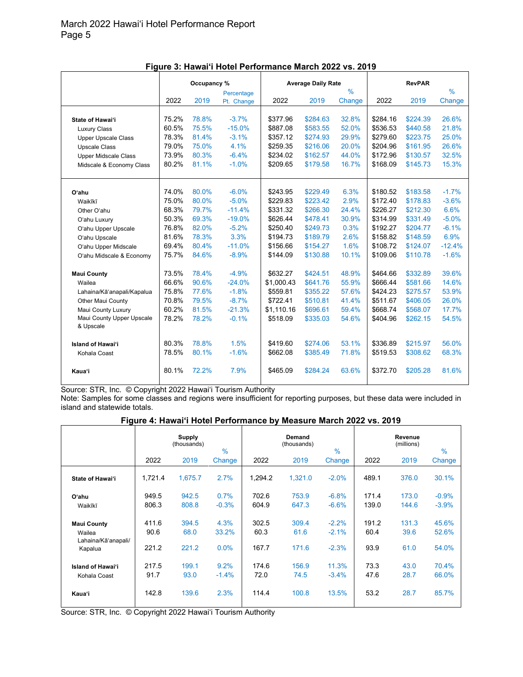|                             | Occupancy % |       |            |            | <b>Average Daily Rate</b> |               |          | <b>RevPAR</b> |               |  |
|-----------------------------|-------------|-------|------------|------------|---------------------------|---------------|----------|---------------|---------------|--|
|                             |             |       | Percentage |            |                           | $\frac{0}{0}$ |          |               | $\frac{0}{0}$ |  |
|                             | 2022        | 2019  | Pt. Change | 2022       | 2019                      | Change        | 2022     | 2019          | Change        |  |
|                             |             |       |            |            |                           |               |          |               |               |  |
| State of Hawai'i            | 75.2%       | 78.8% | $-3.7%$    | \$377.96   | \$284.63                  | 32.8%         | \$284.16 | \$224.39      | 26.6%         |  |
| <b>Luxury Class</b>         | 60.5%       | 75.5% | $-15.0%$   | \$887.08   | \$583.55                  | 52.0%         | \$536.53 | \$440.58      | 21.8%         |  |
| <b>Upper Upscale Class</b>  | 78.3%       | 81.4% | $-3.1%$    | \$357.12   | \$274.93                  | 29.9%         | \$279.60 | \$223.75      | 25.0%         |  |
| <b>Upscale Class</b>        | 79.0%       | 75.0% | 4.1%       | \$259.35   | \$216.06                  | 20.0%         | \$204.96 | \$161.95      | 26.6%         |  |
| <b>Upper Midscale Class</b> | 73.9%       | 80.3% | $-6.4%$    | \$234.02   | \$162.57                  | 44.0%         | \$172.96 | \$130.57      | 32.5%         |  |
| Midscale & Economy Class    | 80.2%       | 81.1% | $-1.0%$    | \$209.65   | \$179.58                  | 16.7%         | \$168.09 | \$145.73      | 15.3%         |  |
|                             |             |       |            |            |                           |               |          |               |               |  |
|                             |             |       |            |            |                           |               |          |               |               |  |
| O'ahu                       | 74.0%       | 80.0% | $-6.0%$    | \$243.95   | \$229.49                  | 6.3%          | \$180.52 | \$183.58      | $-1.7%$       |  |
| Waikīkī                     | 75.0%       | 80.0% | $-5.0%$    | \$229.83   | \$223.42                  | 2.9%          | \$172.40 | \$178.83      | $-3.6%$       |  |
| Other O'ahu                 | 68.3%       | 79.7% | $-11.4%$   | \$331.32   | \$266.30                  | 24.4%         | \$226.27 | \$212.30      | 6.6%          |  |
| O'ahu Luxury                | 50.3%       | 69.3% | $-19.0%$   | \$626.44   | \$478.41                  | 30.9%         | \$314.99 | \$331.49      | $-5.0%$       |  |
| O'ahu Upper Upscale         | 76.8%       | 82.0% | $-5.2%$    | \$250.40   | \$249.73                  | 0.3%          | \$192.27 | \$204.77      | $-6.1%$       |  |
| O'ahu Upscale               | 81.6%       | 78.3% | 3.3%       | \$194.73   | \$189.79                  | 2.6%          | \$158.82 | \$148.59      | 6.9%          |  |
| O'ahu Upper Midscale        | 69.4%       | 80.4% | $-11.0%$   | \$156.66   | \$154.27                  | 1.6%          | \$108.72 | \$124.07      | $-12.4%$      |  |
| O'ahu Midscale & Economy    | 75.7%       | 84.6% | $-8.9%$    | \$144.09   | \$130.88                  | 10.1%         | \$109.06 | \$110.78      | $-1.6%$       |  |
|                             |             |       |            |            |                           |               |          |               |               |  |
| <b>Maui County</b>          | 73.5%       | 78.4% | $-4.9%$    | \$632.27   | \$424.51                  | 48.9%         | \$464.66 | \$332.89      | 39.6%         |  |
| Wailea                      | 66.6%       | 90.6% | $-24.0%$   | \$1.000.43 | \$641.76                  | 55.9%         | \$666.44 | \$581.66      | 14.6%         |  |
| Lahaina/Kā'anapali/Kapalua  | 75.8%       | 77.6% | $-1.8%$    | \$559.81   | \$355.22                  | 57.6%         | \$424.23 | \$275.57      | 53.9%         |  |
| <b>Other Maui County</b>    | 70.8%       | 79.5% | $-8.7%$    | \$722.41   | \$510.81                  | 41.4%         | \$511.67 | \$406.05      | 26.0%         |  |
| Maui County Luxury          | 60.2%       | 81.5% | $-21.3%$   | \$1,110.16 | \$696.61                  | 59.4%         | \$668.74 | \$568.07      | 17.7%         |  |
| Maui County Upper Upscale   | 78.2%       | 78.2% | $-0.1%$    | \$518.09   | \$335.03                  | 54.6%         | \$404.96 | \$262.15      | 54.5%         |  |
| & Upscale                   |             |       |            |            |                           |               |          |               |               |  |
|                             |             |       |            |            |                           |               |          |               |               |  |
| <b>Island of Hawai'i</b>    | 80.3%       | 78.8% | 1.5%       | \$419.60   | \$274.06                  | 53.1%         | \$336.89 | \$215.97      | 56.0%         |  |
| Kohala Coast                | 78.5%       | 80.1% | $-1.6%$    | \$662.08   | \$385.49                  | 71.8%         | \$519.53 | \$308.62      | 68.3%         |  |
|                             |             |       |            |            |                           |               |          |               |               |  |
| Kaua'i                      | 80.1%       | 72.2% | 7.9%       | \$465.09   | \$284.24                  | 63.6%         | \$372.70 | \$205.28      | 81.6%         |  |
|                             |             |       |            |            |                           |               |          |               |               |  |

**Figure 3: Hawai'i Hotel Performance March 2022 vs. 2019**

Note: Samples for some classes and regions were insufficient for reporting purposes, but these data were included in island and statewide totals.

| Figure 4: Hawai'i Hotel Performance by Measure March 2022 vs. 2019 |  |
|--------------------------------------------------------------------|--|
|--------------------------------------------------------------------|--|

|                                          |               | <b>Supply</b><br>(thousands) | $\%$            |               | Demand<br>(thousands) | $\frac{0}{0}$      |               | Revenue<br>(millions) | $\frac{0}{0}$  |
|------------------------------------------|---------------|------------------------------|-----------------|---------------|-----------------------|--------------------|---------------|-----------------------|----------------|
|                                          | 2022          | 2019                         | Change          | 2022          | 2019                  | Change             | 2022          | 2019                  | Change         |
| State of Hawai'i                         | 1,721.4       | 1.675.7                      | 2.7%            | 1.294.2       | 1,321.0               | $-2.0%$            | 489.1         | 376.0                 | 30.1%          |
| O'ahu                                    | 949.5         | 942.5                        | 0.7%            | 702.6         | 753.9                 | $-6.8%$            | 171.4         | 173.0                 | $-0.9%$        |
| Waikīkī                                  | 806.3         | 808.8                        | $-0.3%$         | 604.9         | 647.3                 | $-6.6%$            | 139.0         | 144.6                 | $-3.9%$        |
| <b>Maui County</b><br>Wailea             | 411.6<br>90.6 | 394.5<br>68.0                | 4.3%<br>33.2%   | 302.5<br>60.3 | 309.4<br>61.6         | $-2.2%$<br>$-2.1%$ | 191.2<br>60.4 | 131.3<br>39.6         | 45.6%<br>52.6% |
| Lahaina/Kā'anapali/<br>Kapalua           | 221.2         | 221.2                        | $0.0\%$         | 167.7         | 171.6                 | $-2.3%$            | 93.9          | 61.0                  | 54.0%          |
| <b>Island of Hawai'i</b><br>Kohala Coast | 217.5<br>91.7 | 199.1<br>93.0                | 9.2%<br>$-1.4%$ | 174.6<br>72.0 | 156.9<br>74.5         | 11.3%<br>$-3.4%$   | 73.3<br>47.6  | 43.0<br>28.7          | 70.4%<br>66.0% |
| Kaua'i                                   | 142.8         | 139.6                        | 2.3%            | 114.4         | 100.8                 | 13.5%              | 53.2          | 28.7                  | 85.7%          |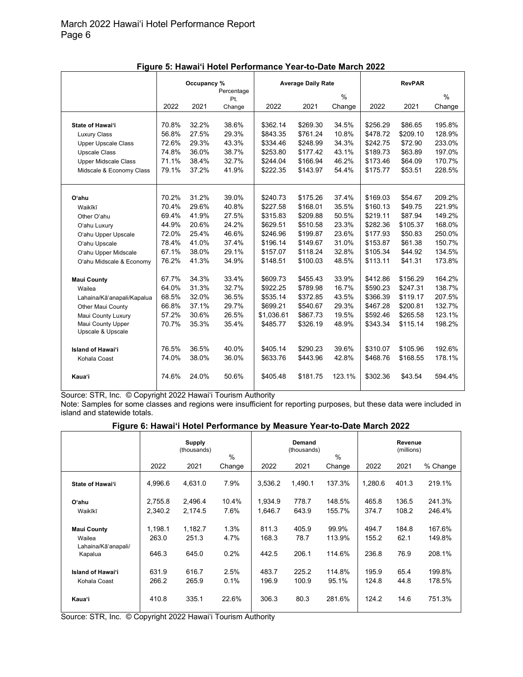|                             |       | Occupancy % |               |            | <b>Average Daily Rate</b> |               |          | <b>RevPAR</b> |               |
|-----------------------------|-------|-------------|---------------|------------|---------------------------|---------------|----------|---------------|---------------|
|                             |       |             | Percentage    |            |                           | $\frac{0}{0}$ |          |               | $\frac{0}{0}$ |
|                             | 2022  | 2021        | Pt.<br>Change | 2022       | 2021                      | Change        | 2022     | 2021          | Change        |
|                             |       |             |               |            |                           |               |          |               |               |
| State of Hawai'i            | 70.8% | 32.2%       | 38.6%         | \$362.14   | \$269.30                  | 34.5%         | \$256.29 | \$86.65       | 195.8%        |
| <b>Luxury Class</b>         | 56.8% | 27.5%       | 29.3%         | \$843.35   | \$761.24                  | 10.8%         | \$478.72 | \$209.10      | 128.9%        |
| <b>Upper Upscale Class</b>  | 72.6% | 29.3%       | 43.3%         | \$334.46   | \$248.99                  | 34.3%         | \$242.75 | \$72.90       | 233.0%        |
| <b>Upscale Class</b>        | 74.8% | 36.0%       | 38.7%         | \$253.80   | \$177.42                  | 43.1%         | \$189.73 | \$63.89       | 197.0%        |
| <b>Upper Midscale Class</b> | 71.1% | 38.4%       | 32.7%         | \$244.04   | \$166.94                  | 46.2%         | \$173.46 | \$64.09       | 170.7%        |
| Midscale & Economy Class    | 79.1% | 37.2%       | 41.9%         | \$222.35   | \$143.97                  | 54.4%         | \$175.77 | \$53.51       | 228.5%        |
|                             |       |             |               |            |                           |               |          |               |               |
| O'ahu                       | 70.2% | 31.2%       | 39.0%         | \$240.73   | \$175.26                  | 37.4%         | \$169.03 | \$54.67       | 209.2%        |
| Waikīkī                     | 70.4% | 29.6%       | 40.8%         | \$227.58   | \$168.01                  | 35.5%         | \$160.13 | \$49.75       | 221.9%        |
| Other O'ahu                 | 69.4% | 41.9%       | 27.5%         | \$315.83   | \$209.88                  | 50.5%         | \$219.11 | \$87.94       | 149.2%        |
| O'ahu Luxury                | 44.9% | 20.6%       | 24.2%         | \$629.51   | \$510.58                  | 23.3%         | \$282.36 | \$105.37      | 168.0%        |
| O'ahu Upper Upscale         | 72.0% | 25.4%       | 46.6%         | \$246.96   | \$199.87                  | 23.6%         | \$177.93 | \$50.83       | 250.0%        |
| O'ahu Upscale               | 78.4% | 41.0%       | 37.4%         | \$196.14   | \$149.67                  | 31.0%         | \$153.87 | \$61.38       | 150.7%        |
| O'ahu Upper Midscale        | 67.1% | 38.0%       | 29.1%         | \$157.07   | \$118.24                  | 32.8%         | \$105.34 | \$44.92       | 134.5%        |
| O'ahu Midscale & Economy    | 76.2% | 41.3%       | 34.9%         | \$148.51   | \$100.03                  | 48.5%         | \$113.11 | \$41.31       | 173.8%        |
| <b>Maui County</b>          | 67.7% | 34.3%       | 33.4%         | \$609.73   | \$455.43                  | 33.9%         | \$412.86 | \$156.29      | 164.2%        |
| Wailea                      | 64.0% | 31.3%       | 32.7%         | \$922.25   | \$789.98                  | 16.7%         | \$590.23 | \$247.31      | 138.7%        |
| Lahaina/Kā'anapali/Kapalua  | 68.5% | 32.0%       | 36.5%         | \$535.14   | \$372.85                  | 43.5%         | \$366.39 | \$119.17      | 207.5%        |
| Other Maui County           | 66.8% | 37.1%       | 29.7%         | \$699.21   | \$540.67                  | 29.3%         | \$467.28 | \$200.81      | 132.7%        |
| Maui County Luxury          | 57.2% | 30.6%       | 26.5%         | \$1,036.61 | \$867.73                  | 19.5%         | \$592.46 | \$265.58      | 123.1%        |
| Maui County Upper           | 70.7% | 35.3%       | 35.4%         | \$485.77   | \$326.19                  | 48.9%         | \$343.34 | \$115.14      | 198.2%        |
| Upscale & Upscale           |       |             |               |            |                           |               |          |               |               |
| <b>Island of Hawai'i</b>    | 76.5% | 36.5%       | 40.0%         | \$405.14   | \$290.23                  | 39.6%         | \$310.07 | \$105.96      | 192.6%        |
| Kohala Coast                | 74.0% | 38.0%       | 36.0%         | \$633.76   | \$443.96                  | 42.8%         | \$468.76 | \$168.55      | 178.1%        |
| Kaua'i                      | 74.6% | 24.0%       | 50.6%         | \$405.48   | \$181.75                  | 123.1%        | \$302.36 | \$43.54       | 594.4%        |

Note: Samples for some classes and regions were insufficient for reporting purposes, but these data were included in island and statewide totals.

|                                                     | <b>Supply</b><br>(thousands)<br>$\%$ |                  |              |                | Demand<br>(thousands) | $\%$            | Revenue<br>(millions) |               |                  |  |
|-----------------------------------------------------|--------------------------------------|------------------|--------------|----------------|-----------------------|-----------------|-----------------------|---------------|------------------|--|
|                                                     | 2022                                 | 2021             | Change       | 2022           | 2021                  | Change          | 2022                  | 2021          | % Change         |  |
| State of Hawai'i                                    | 4,996.6                              | 4,631.0          | 7.9%         | 3,536.2        | 1,490.1               | 137.3%          | 1.280.6               | 401.3         | 219.1%           |  |
| Oʻahu                                               | 2.755.8                              | 2,496.4          | 10.4%        | 1.934.9        | 778.7                 | 148.5%          | 465.8                 | 136.5         | 241.3%           |  |
| Waikīkī                                             | 2,340.2                              | 2.174.5          | 7.6%         | 1.646.7        | 643.9                 | 155.7%          | 374.7                 | 108.2         | 246.4%           |  |
| <b>Maui County</b><br>Wailea<br>Lahaina/Kāʻanapali/ | 1.198.1<br>263.0                     | 1,182.7<br>251.3 | 1.3%<br>4.7% | 811.3<br>168.3 | 405.9<br>78.7         | 99.9%<br>113.9% | 494.7<br>155.2        | 184.8<br>62.1 | 167.6%<br>149.8% |  |
| Kapalua                                             | 646.3                                | 645.0            | 0.2%         | 442.5          | 206.1                 | 114.6%          | 236.8                 | 76.9          | 208.1%           |  |
| <b>Island of Hawai'i</b><br>Kohala Coast            | 631.9<br>266.2                       | 616.7<br>265.9   | 2.5%<br>0.1% | 483.7<br>196.9 | 225.2<br>100.9        | 114.8%<br>95.1% | 195.9<br>124.8        | 65.4<br>44.8  | 199.8%<br>178.5% |  |
| <b>Kaua'i</b>                                       | 410.8                                | 335.1            | 22.6%        | 306.3          | 80.3                  | 281.6%          | 124.2                 | 14.6          | 751.3%           |  |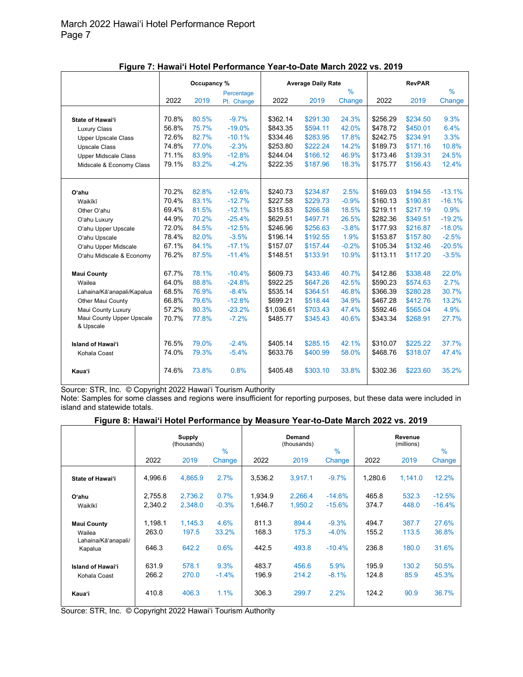|                                        | Occupancy %    |                |            |            | <b>Average Daily Rate</b> |               |          | <b>RevPAR</b> |               |  |
|----------------------------------------|----------------|----------------|------------|------------|---------------------------|---------------|----------|---------------|---------------|--|
|                                        |                |                | Percentage |            |                           | $\frac{0}{0}$ |          |               | $\frac{0}{0}$ |  |
|                                        | 2022           | 2019           | Pt. Change | 2022       | 2019                      | Change        | 2022     | 2019          | Change        |  |
|                                        |                |                |            |            |                           |               |          |               |               |  |
| State of Hawai'i                       | 70.8%          | 80.5%          | $-9.7%$    | \$362.14   | \$291.30                  | 24.3%         | \$256.29 | \$234.50      | 9.3%          |  |
| <b>Luxury Class</b>                    | 56.8%          | 75.7%          | $-19.0%$   | \$843.35   | \$594.11                  | 42.0%         | \$478.72 | \$450.01      | 6.4%          |  |
| <b>Upper Upscale Class</b>             | 72.6%          | 82.7%          | $-10.1%$   | \$334.46   | \$283.95                  | 17.8%         | \$242.75 | \$234.91      | 3.3%          |  |
| <b>Upscale Class</b>                   | 74.8%          | 77.0%          | $-2.3%$    | \$253.80   | \$222.24                  | 14.2%         | \$189.73 | \$171.16      | 10.8%         |  |
| <b>Upper Midscale Class</b>            | 71.1%          | 83.9%          | $-12.8%$   | \$244.04   | \$166.12                  | 46.9%         | \$173.46 | \$139.31      | 24.5%         |  |
| Midscale & Economy Class               | 79.1%          | 83.2%          | $-4.2%$    | \$222.35   | \$187.96                  | 18.3%         | \$175.77 | \$156.43      | 12.4%         |  |
|                                        |                |                |            |            |                           |               |          |               |               |  |
| Oʻahu                                  | 70.2%          | 82.8%          | $-12.6%$   | \$240.73   | \$234.87                  | 2.5%          | \$169.03 | \$194.55      | $-13.1%$      |  |
| Waikīkī                                | 70.4%          | 83.1%          | $-12.7%$   | \$227.58   | \$229.73                  | $-0.9%$       | \$160.13 | \$190.81      | $-16.1%$      |  |
| Other O'ahu                            | 69.4%          | 81.5%          | $-12.1%$   | \$315.83   | \$266.58                  | 18.5%         | \$219.11 | \$217.19      | 0.9%          |  |
| O'ahu Luxury                           | 44.9%          | 70.2%          | $-25.4%$   | \$629.51   | \$497.71                  | 26.5%         | \$282.36 | \$349.51      | $-19.2%$      |  |
| O'ahu Upper Upscale                    | 72.0%          | 84.5%          | $-12.5%$   | \$246.96   | \$256.63                  | $-3.8%$       | \$177.93 | \$216.87      | $-18.0%$      |  |
| O'ahu Upscale                          | 78.4%          | 82.0%          | $-3.5%$    | \$196.14   | \$192.55                  | 1.9%          | \$153.87 | \$157.80      | $-2.5%$       |  |
| O'ahu Upper Midscale                   | 67.1%          | 84.1%          | $-17.1%$   | \$157.07   | \$157.44                  | $-0.2%$       | \$105.34 | \$132.46      | $-20.5%$      |  |
| O'ahu Midscale & Economy               | 76.2%          | 87.5%          | $-11.4%$   | \$148.51   | \$133.91                  | 10.9%         | \$113.11 | \$117.20      | $-3.5%$       |  |
| <b>Maui County</b>                     | 67.7%          | 78.1%          | $-10.4%$   | \$609.73   | \$433.46                  | 40.7%         | \$412.86 | \$338.48      | 22.0%         |  |
|                                        | 64.0%          | 88.8%          | $-24.8%$   | \$922.25   | \$647.26                  | 42.5%         | \$590.23 | \$574.63      | 2.7%          |  |
| Wailea                                 | 68.5%          | 76.9%          | $-8.4%$    | \$535.14   | \$364.51                  | 46.8%         | \$366.39 | \$280.28      | 30.7%         |  |
| Lahaina/Kā'anapali/Kapalua             |                |                |            |            |                           |               |          |               |               |  |
| <b>Other Maui County</b>               | 66.8%<br>57.2% | 79.6%<br>80.3% | $-12.8%$   | \$699.21   | \$518.44                  | 34.9%         | \$467.28 | \$412.76      | 13.2%<br>4.9% |  |
| Maui County Luxury                     |                |                | $-23.2%$   | \$1,036.61 | \$703.43                  | 47.4%         | \$592.46 | \$565.04      |               |  |
| Maui County Upper Upscale<br>& Upscale | 70.7%          | 77.8%          | $-7.2%$    | \$485.77   | \$345.43                  | 40.6%         | \$343.34 | \$268.91      | 27.7%         |  |
|                                        |                |                |            |            |                           |               |          |               |               |  |
| <b>Island of Hawai'i</b>               | 76.5%          | 79.0%          | $-2.4%$    | \$405.14   | \$285.15                  | 42.1%         | \$310.07 | \$225.22      | 37.7%         |  |
| Kohala Coast                           | 74.0%          | 79.3%          | $-5.4%$    | \$633.76   | \$400.99                  | 58.0%         | \$468.76 | \$318.07      | 47.4%         |  |
|                                        |                |                |            |            |                           |               |          |               |               |  |
| Kaua'i                                 | 74.6%          | 73.8%          | 0.8%       | \$405.48   | \$303.10                  | 33.8%         | \$302.36 | \$223.60      | 35.2%         |  |

**Figure 7: Hawai'i Hotel Performance Year-to-Date March 2022 vs. 2019**

Note: Samples for some classes and regions were insufficient for reporting purposes, but these data were included in island and statewide totals.

#### **Figure 8: Hawai'i Hotel Performance by Measure Year-to-Date March 2022 vs. 2019**

|                                |         | <b>Supply</b><br>(thousands) | $\frac{9}{6}$ |         | Demand<br>(thousands) | $\frac{0}{0}$ |         | Revenue<br>(millions) | $\%$     |
|--------------------------------|---------|------------------------------|---------------|---------|-----------------------|---------------|---------|-----------------------|----------|
|                                | 2022    | 2019                         | Change        | 2022    | 2019                  | Change        | 2022    | 2019                  | Change   |
| State of Hawai'i               | 4.996.6 | 4.865.9                      | 2.7%          | 3,536.2 | 3,917.1               | $-9.7%$       | 1,280.6 | 1,141.0               | 12.2%    |
| O'ahu                          | 2,755.8 | 2,736.2                      | 0.7%          | 1,934.9 | 2,266.4               | $-14.6%$      | 465.8   | 532.3                 | $-12.5%$ |
| Waikīkī                        | 2.340.2 | 2.348.0                      | $-0.3%$       | 1.646.7 | 1.950.2               | $-15.6%$      | 374.7   | 448.0                 | $-16.4%$ |
| <b>Maui County</b>             | 1.198.1 | 1.145.3                      | 4.6%          | 811.3   | 894.4                 | $-9.3%$       | 494.7   | 387.7                 | 27.6%    |
| Wailea                         | 263.0   | 197.5                        | 33.2%         | 168.3   | 175.3                 | $-4.0%$       | 155.2   | 113.5                 | 36.8%    |
| Lahaina/Kāʻanapali/<br>Kapalua | 646.3   | 642.2                        | 0.6%          | 442.5   | 493.8                 | $-10.4%$      | 236.8   | 180.0                 | 31.6%    |
| <b>Island of Hawai'i</b>       | 631.9   | 578.1                        | 9.3%          | 483.7   | 456.6                 | 5.9%          | 195.9   | 130.2                 | 50.5%    |
| Kohala Coast                   | 266.2   | 270.0                        | $-1.4%$       | 196.9   | 214.2                 | $-8.1%$       | 124.8   | 85.9                  | 45.3%    |
| Kaua'i                         | 410.8   | 406.3                        | 1.1%          | 306.3   | 299.7                 | 2.2%          | 124.2   | 90.9                  | 36.7%    |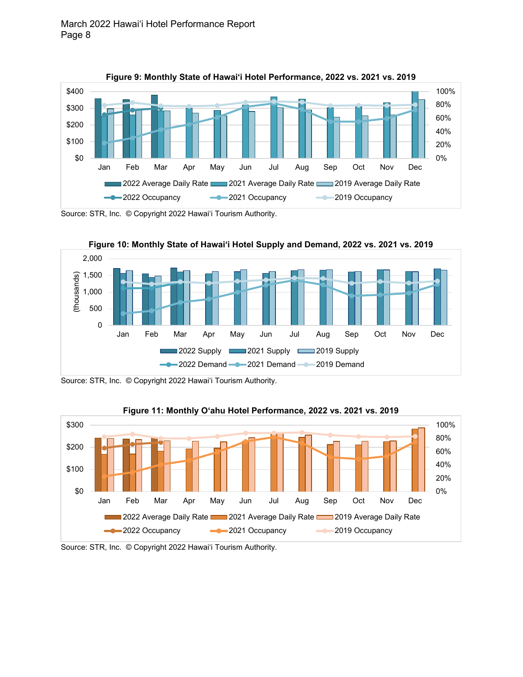



Source: STR, Inc. © Copyright 2022 Hawai'i Tourism Authority.



Source: STR, Inc. © Copyright 2022 Hawai'i Tourism Authority.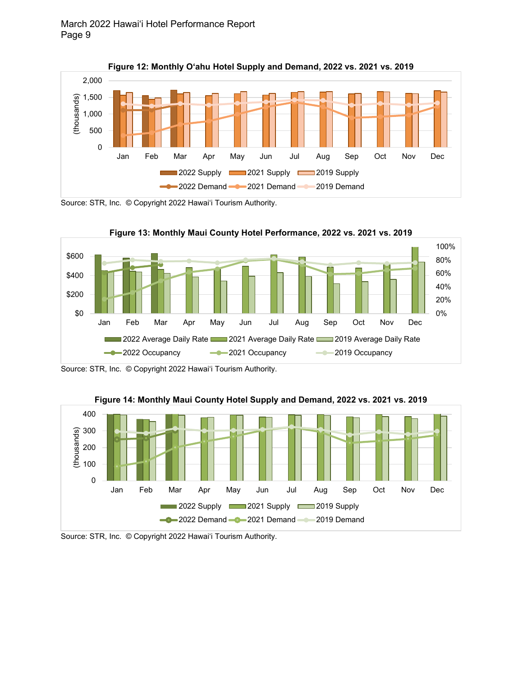

**Figure 12: Monthly O'ahu Hotel Supply and Demand, 2022 vs. 2021 vs. 2019**



Source: STR, Inc. © Copyright 2022 Hawai'i Tourism Authority.





Source: STR, Inc. © Copyright 2022 Hawai'i Tourism Authority.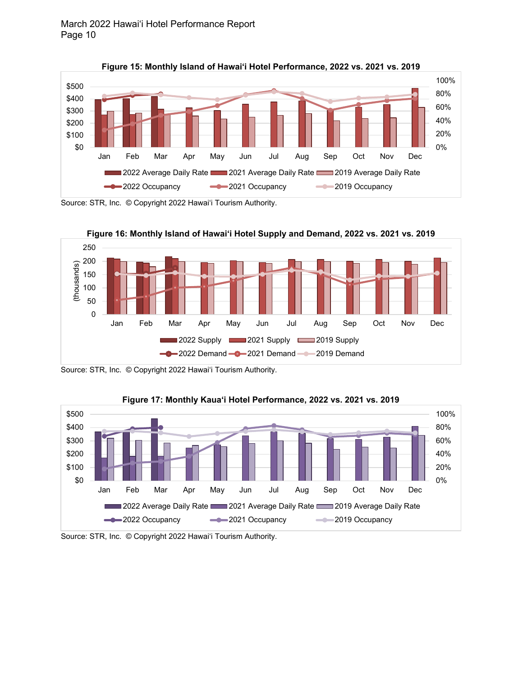

**Figure 15: Monthly Island of Hawai'i Hotel Performance, 2022 vs. 2021 vs. 2019**



Source: STR, Inc. © Copyright 2022 Hawai'i Tourism Authority.



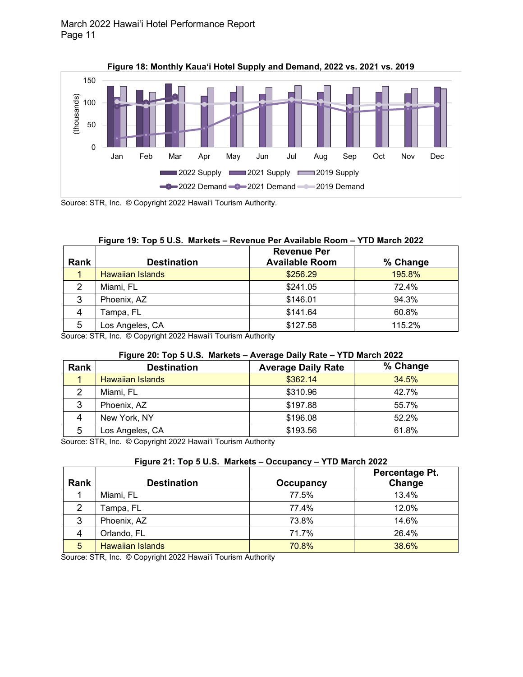

**Figure 18: Monthly Kaua'i Hotel Supply and Demand, 2022 vs. 2021 vs. 2019**

Source: STR, Inc. © Copyright 2022 Hawai'i Tourism Authority.

## **Figure 19: Top 5 U.S. Markets – Revenue Per Available Room – YTD March 2022**

|      |                         | <b>Revenue Per</b>    |          |
|------|-------------------------|-----------------------|----------|
| Rank | <b>Destination</b>      | <b>Available Room</b> | % Change |
|      | <b>Hawaiian Islands</b> | \$256.29              | 195.8%   |
|      | Miami, FL               | \$241.05              | 72.4%    |
| 3    | Phoenix, AZ             | \$146.01              | 94.3%    |
|      | Tampa, FL               | \$141.64              | 60.8%    |
| 5    | Los Angeles, CA         | \$127.58              | 115.2%   |

Source: STR, Inc. © Copyright 2022 Hawai'i Tourism Authority

## **Figure 20: Top 5 U.S. Markets – Average Daily Rate – YTD March 2022**

| Rank | <b>Destination</b>      | <b>Average Daily Rate</b> | % Change |
|------|-------------------------|---------------------------|----------|
|      | <b>Hawaiian Islands</b> | \$362.14                  | 34.5%    |
|      | Miami, FL               | \$310.96                  | 42.7%    |
| ົ    | Phoenix, AZ             | \$197.88                  | 55.7%    |
|      | New York, NY            | \$196.08                  | $52.2\%$ |
| 5    | Los Angeles, CA         | \$193.56                  | 61.8%    |

Source: STR, Inc. © Copyright 2022 Hawai'i Tourism Authority

## **Figure 21: Top 5 U.S. Markets – Occupancy – YTD March 2022**

| Rank | <b>Destination</b>      | Occupancy | Percentage Pt.<br>Change |
|------|-------------------------|-----------|--------------------------|
|      | Miami, FL               | 77.5%     | 13.4%                    |
| 2    | Tampa, FL               | 77.4%     | 12.0%                    |
| 3    | Phoenix, AZ             | 73.8%     | 14.6%                    |
|      | Orlando, FL             | 71.7%     | 26.4%                    |
| 5    | <b>Hawaiian Islands</b> | 70.8%     | 38.6%                    |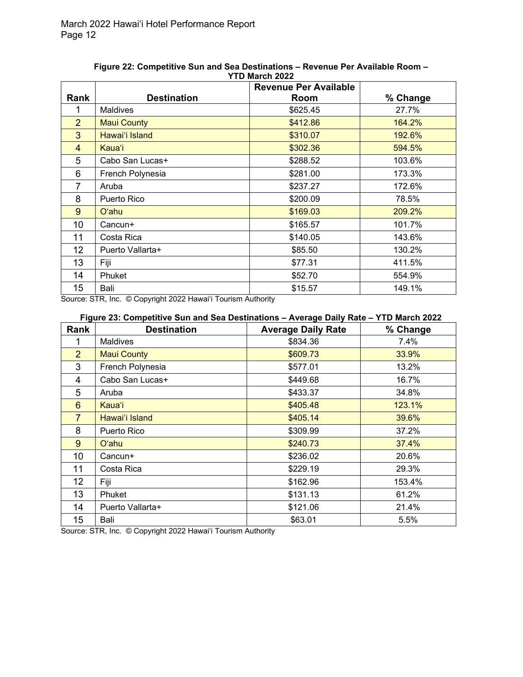|                |                    | <b>Revenue Per Available</b> |          |
|----------------|--------------------|------------------------------|----------|
| Rank           | <b>Destination</b> | Room                         | % Change |
|                | <b>Maldives</b>    | \$625.45                     | 27.7%    |
| $\overline{2}$ | <b>Maui County</b> | \$412.86                     | 164.2%   |
| 3              | Hawai'i Island     | \$310.07                     | 192.6%   |
| $\overline{4}$ | Kaua'i             | \$302.36                     | 594.5%   |
| 5              | Cabo San Lucas+    | \$288.52                     | 103.6%   |
| 6              | French Polynesia   | \$281.00                     | 173.3%   |
| 7              | Aruba              | \$237.27                     | 172.6%   |
| 8              | Puerto Rico        | \$200.09                     | 78.5%    |
| 9              | O'ahu              | \$169.03                     | 209.2%   |
| 10             | Cancun+            | \$165.57                     | 101.7%   |
| 11             | Costa Rica         | \$140.05                     | 143.6%   |
| 12             | Puerto Vallarta+   | \$85.50                      | 130.2%   |
| 13             | Fiji               | \$77.31                      | 411.5%   |
| 14             | Phuket             | \$52.70                      | 554.9%   |
| 15             | Bali               | \$15.57                      | 149.1%   |

## **Figure 22: Competitive Sun and Sea Destinations – Revenue Per Available Room – YTD March 2022**

Source: STR, Inc. © Copyright 2022 Hawai'i Tourism Authority

# **Figure 23: Competitive Sun and Sea Destinations – Average Daily Rate – YTD March 2022**

| Rank            | <b>Destination</b> | <b>Average Daily Rate</b> | % Change |
|-----------------|--------------------|---------------------------|----------|
|                 | Maldives           | \$834.36                  | 7.4%     |
| $\overline{2}$  | <b>Maui County</b> | \$609.73                  | 33.9%    |
| 3               | French Polynesia   | \$577.01                  | 13.2%    |
| 4               | Cabo San Lucas+    | \$449.68                  | 16.7%    |
| 5               | Aruba              | \$433.37                  | 34.8%    |
| $6\phantom{1}$  | Kaua'i             | \$405.48                  | 123.1%   |
| $\overline{7}$  | Hawai'i Island     | \$405.14                  | 39.6%    |
| 8               | Puerto Rico        | \$309.99                  | 37.2%    |
| 9               | Oʻahu              | \$240.73                  | 37.4%    |
| 10              | Cancun+            | \$236.02                  | 20.6%    |
| 11              | Costa Rica         | \$229.19                  | 29.3%    |
| 12 <sup>2</sup> | Fiji               | \$162.96                  | 153.4%   |
| 13              | Phuket             | \$131.13                  | 61.2%    |
| 14              | Puerto Vallarta+   | \$121.06                  | 21.4%    |
| 15              | Bali               | \$63.01                   | 5.5%     |